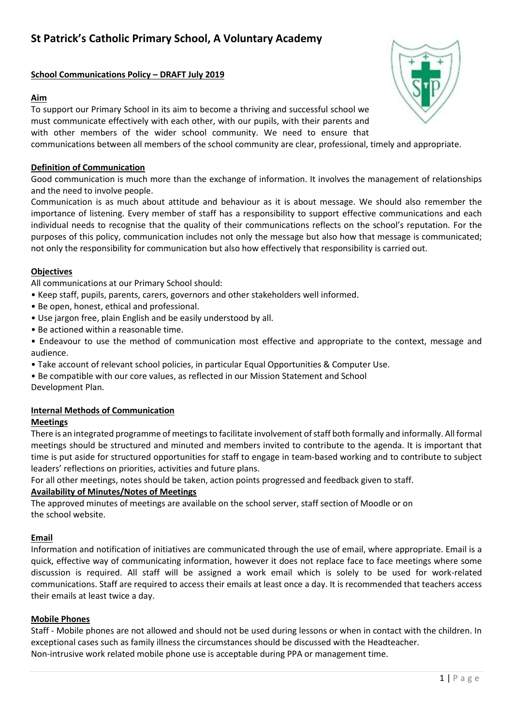# **School Communications Policy – DRAFT July 2019**

# **Aim**

To support our Primary School in its aim to become a thriving and successful school we must communicate effectively with each other, with our pupils, with their parents and with other members of the wider school community. We need to ensure that communications between all members of the school community are clear, professional, timely and appropriate.

# **Definition of Communication**

Good communication is much more than the exchange of information. It involves the management of relationships and the need to involve people.

Communication is as much about attitude and behaviour as it is about message. We should also remember the importance of listening. Every member of staff has a responsibility to support effective communications and each individual needs to recognise that the quality of their communications reflects on the school's reputation. For the purposes of this policy, communication includes not only the message but also how that message is communicated; not only the responsibility for communication but also how effectively that responsibility is carried out.

# **Objectives**

All communications at our Primary School should:

- Keep staff, pupils, parents, carers, governors and other stakeholders well informed.
- Be open, honest, ethical and professional.
- Use jargon free, plain English and be easily understood by all.
- Be actioned within a reasonable time.
- Endeavour to use the method of communication most effective and appropriate to the context, message and audience.
- Take account of relevant school policies, in particular Equal Opportunities & Computer Use.
- Be compatible with our core values, as reflected in our Mission Statement and School

Development Plan.

# **Internal Methods of Communication**

# **Meetings**

There is an integrated programme of meetings to facilitate involvement of staff both formally and informally. All formal meetings should be structured and minuted and members invited to contribute to the agenda. It is important that time is put aside for structured opportunities for staff to engage in team-based working and to contribute to subject leaders' reflections on priorities, activities and future plans.

For all other meetings, notes should be taken, action points progressed and feedback given to staff.

# **Availability of Minutes/Notes of Meetings**

The approved minutes of meetings are available on the school server, staff section of Moodle or on the school website.

# **Email**

Information and notification of initiatives are communicated through the use of email, where appropriate. Email is a quick, effective way of communicating information, however it does not replace face to face meetings where some discussion is required. All staff will be assigned a work email which is solely to be used for work-related communications. Staff are required to access their emails at least once a day. It is recommended that teachers access their emails at least twice a day.

# **Mobile Phones**

Staff - Mobile phones are not allowed and should not be used during lessons or when in contact with the children. In exceptional cases such as family illness the circumstances should be discussed with the Headteacher. Non-intrusive work related mobile phone use is acceptable during PPA or management time.

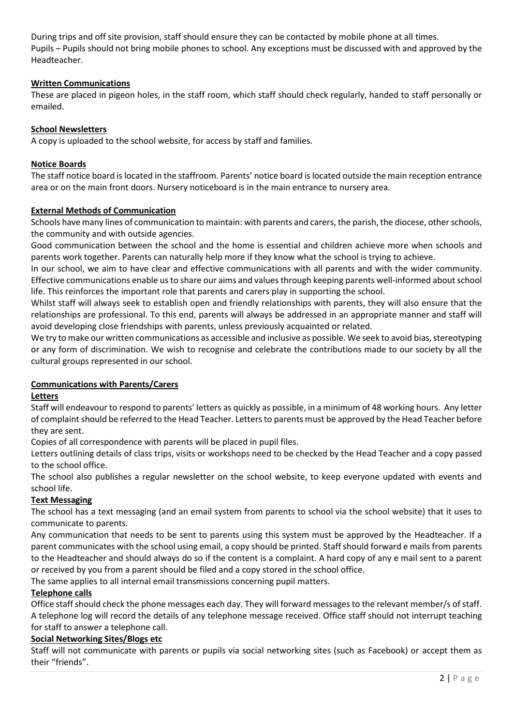During trips and off site provision, staff should ensure they can be contacted by mobile phone at all times. Pupils – Pupils should not bring mobile phones to school. Any exceptions must be discussed with and approved by the Headteacher.

# **Written Communications**

These are placed in pigeon holes, in the staff room, which staff should check regularly, handed to staff personally or emailed.

### **School Newsletters**

A copy is uploaded to the school website, for access by staff and families.

#### **Notice Boards**

The staff notice board is located in the staffroom. Parents' notice board is located outside the main reception entrance area or on the main front doors. Nursery noticeboard is in the main entrance to nursery area.

#### **External Methods of Communication**

Schools have many lines of communication to maintain: with parents and carers, the parish, the diocese, other schools, the community and with outside agencies.

Good communication between the school and the home is essential and children achieve more when schools and parents work together. Parents can naturally help more if they know what the school is trying to achieve.

In our school, we aim to have clear and effective communications with all parents and with the wider community. Effective communications enable us to share our aims and values through keeping parents well-informed about school life. This reinforces the important role that parents and carers play in supporting the school.

Whilst staff will always seek to establish open and friendly relationships with parents, they will also ensure that the relationships are professional. To this end, parents will always be addressed in an appropriate manner and staff will avoid developing close friendships with parents, unless previously acquainted or related.

We try to make our written communications as accessible and inclusive as possible. We seek to avoid bias, stereotyping or any form of discrimination. We wish to recognise and celebrate the contributions made to our society by all the cultural groups represented in our school.

# **Communications with Parents/Carers**

#### **Letters**

Staff will endeavour to respond to parents' letters as quickly as possible, in a minimum of 48 working hours. Any letter of complaint should be referred to the Head Teacher. Letters to parents must be approved by the Head Teacher before they are sent.

Copies of all correspondence with parents will be placed in pupil files.

Letters outlining details of class trips, visits or workshops need to be checked by the Head Teacher and a copy passed to the school office.

The school also publishes a regular newsletter on the school website, to keep everyone updated with events and school life.

# **Text Messaging**

The school has a text messaging (and an email system from parents to school via the school website) that it uses to communicate to parents.

Any communication that needs to be sent to parents using this system must be approved by the Headteacher. If a parent communicates with the school using email, a copy should be printed. Staff should forward e mails from parents to the Headteacher and should always do so if the content is a complaint. A hard copy of any e mail sent to a parent or received by you from a parent should be filed and a copy stored in the school office.

The same applies to all internal email transmissions concerning pupil matters.

# **Telephone calls**

Office staff should check the phone messages each day. They will forward messages to the relevant member/s of staff. A telephone log will record the details of any telephone message received. Office staff should not interrupt teaching for staff to answer a telephone call.

# **Social Networking Sites/Blogs etc**

Staff will not communicate with parents or pupils via social networking sites (such as Facebook) or accept them as their "friends".